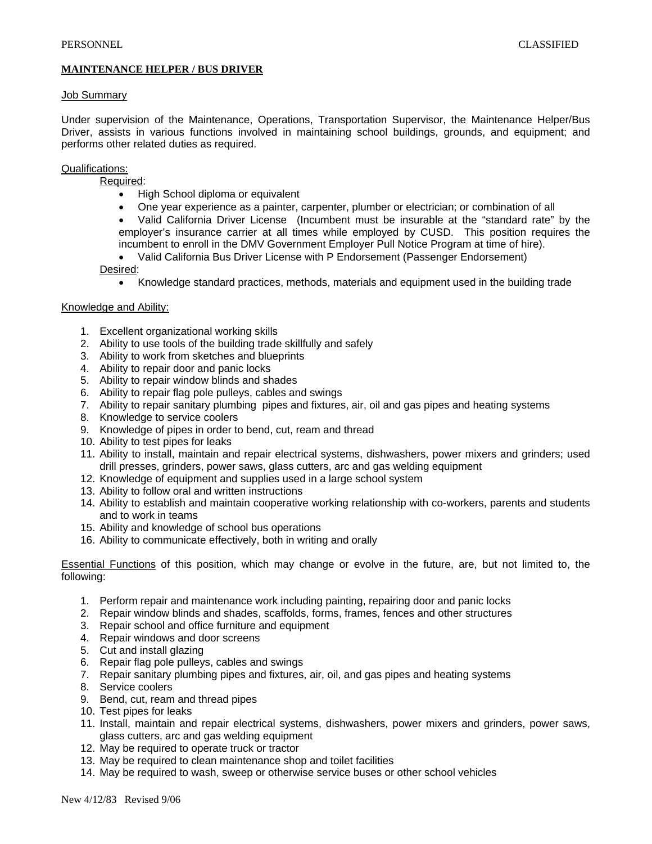## **MAINTENANCE HELPER / BUS DRIVER**

#### Job Summary

Under supervision of the Maintenance, Operations, Transportation Supervisor, the Maintenance Helper/Bus Driver, assists in various functions involved in maintaining school buildings, grounds, and equipment; and performs other related duties as required.

## Qualifications:

Required:

- High School diploma or equivalent
- One year experience as a painter, carpenter, plumber or electrician; or combination of all
- Valid California Driver License (Incumbent must be insurable at the "standard rate" by the employer's insurance carrier at all times while employed by CUSD. This position requires the incumbent to enroll in the DMV Government Employer Pull Notice Program at time of hire).
- Valid California Bus Driver License with P Endorsement (Passenger Endorsement) Desired:
	- Knowledge standard practices, methods, materials and equipment used in the building trade

### Knowledge and Ability:

- 1. Excellent organizational working skills
- 2. Ability to use tools of the building trade skillfully and safely
- 3. Ability to work from sketches and blueprints
- 4. Ability to repair door and panic locks
- 5. Ability to repair window blinds and shades
- 6. Ability to repair flag pole pulleys, cables and swings
- 7. Ability to repair sanitary plumbing pipes and fixtures, air, oil and gas pipes and heating systems
- 8. Knowledge to service coolers
- 9. Knowledge of pipes in order to bend, cut, ream and thread
- 10. Ability to test pipes for leaks
- 11. Ability to install, maintain and repair electrical systems, dishwashers, power mixers and grinders; used drill presses, grinders, power saws, glass cutters, arc and gas welding equipment
- 12. Knowledge of equipment and supplies used in a large school system
- 13. Ability to follow oral and written instructions
- 14. Ability to establish and maintain cooperative working relationship with co-workers, parents and students and to work in teams
- 15. Ability and knowledge of school bus operations
- 16. Ability to communicate effectively, both in writing and orally

Essential Functions of this position, which may change or evolve in the future, are, but not limited to, the following:

- 1. Perform repair and maintenance work including painting, repairing door and panic locks
- 2. Repair window blinds and shades, scaffolds, forms, frames, fences and other structures
- 3. Repair school and office furniture and equipment
- 4. Repair windows and door screens
- 5. Cut and install glazing
- 6. Repair flag pole pulleys, cables and swings
- 7. Repair sanitary plumbing pipes and fixtures, air, oil, and gas pipes and heating systems
- 8. Service coolers
- 9. Bend, cut, ream and thread pipes
- 10. Test pipes for leaks
- 11. Install, maintain and repair electrical systems, dishwashers, power mixers and grinders, power saws, glass cutters, arc and gas welding equipment
- 12. May be required to operate truck or tractor
- 13. May be required to clean maintenance shop and toilet facilities
- 14. May be required to wash, sweep or otherwise service buses or other school vehicles